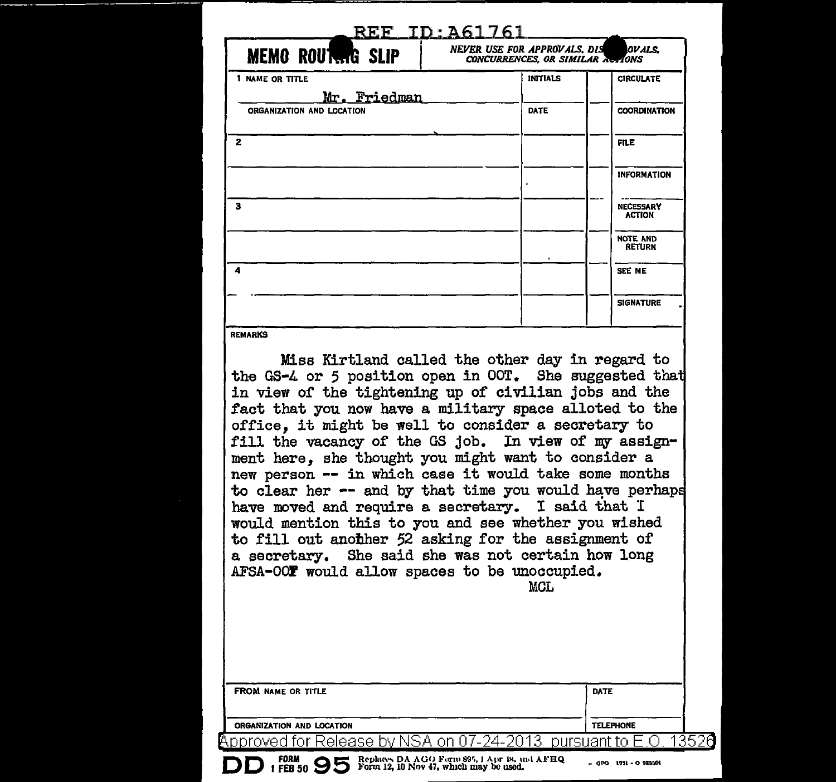| NEVER USE FOR APPROVALS, DIS<br>OVALS.<br>CONCURRENCES, OR SIMILAR ACTIONS |                                   |  |  |  |
|----------------------------------------------------------------------------|-----------------------------------|--|--|--|
| <b>INITIALS</b>                                                            | <b>CIRCULATE</b>                  |  |  |  |
| DATE                                                                       | <b>COORDINATION</b>               |  |  |  |
|                                                                            | <b>FILE</b>                       |  |  |  |
|                                                                            | <b>INFORMATION</b>                |  |  |  |
|                                                                            | <b>NECESSARY</b><br><b>ACTION</b> |  |  |  |
|                                                                            | <b>NOTE AND</b><br><b>RETURN</b>  |  |  |  |
|                                                                            | SEE ME                            |  |  |  |
|                                                                            | <b>SIGNATURE</b>                  |  |  |  |
|                                                                            |                                   |  |  |  |

| Miss Kirtland called the other day in regard to<br>the GS-4 or 5 position open in OOT. She suggested that<br>in view of the tightening up of civilian jobs and the<br>fact that you now have a military space alloted to the<br>office, it might be well to consider a secretary to<br>fill the vacancy of the GS job. In view of my assign-<br>ment here, she thought you might want to consider a<br>new person -- in which case it would take some months<br>to clear her -- and by that time you would have perhaps<br>have moved and require a secretary. I said that I<br>would mention this to you and see whether you wished<br>to fill out another 52 asking for the assignment of<br>a secretary. She said she was not certain how long<br>AFSA-OOF would allow spaces to be unoccupied.<br><b>MCL</b> |                  |
|------------------------------------------------------------------------------------------------------------------------------------------------------------------------------------------------------------------------------------------------------------------------------------------------------------------------------------------------------------------------------------------------------------------------------------------------------------------------------------------------------------------------------------------------------------------------------------------------------------------------------------------------------------------------------------------------------------------------------------------------------------------------------------------------------------------|------------------|
| <b>FROM NAME OR TITLE</b>                                                                                                                                                                                                                                                                                                                                                                                                                                                                                                                                                                                                                                                                                                                                                                                        | <b>DATE</b>      |
| ORGANIZATION AND LOCATION                                                                                                                                                                                                                                                                                                                                                                                                                                                                                                                                                                                                                                                                                                                                                                                        | <b>TELEPHONE</b> |
| <u>proved for Release by</u> NSA on 07-24-2 <del>013</del><br>pursuant to                                                                                                                                                                                                                                                                                                                                                                                                                                                                                                                                                                                                                                                                                                                                        |                  |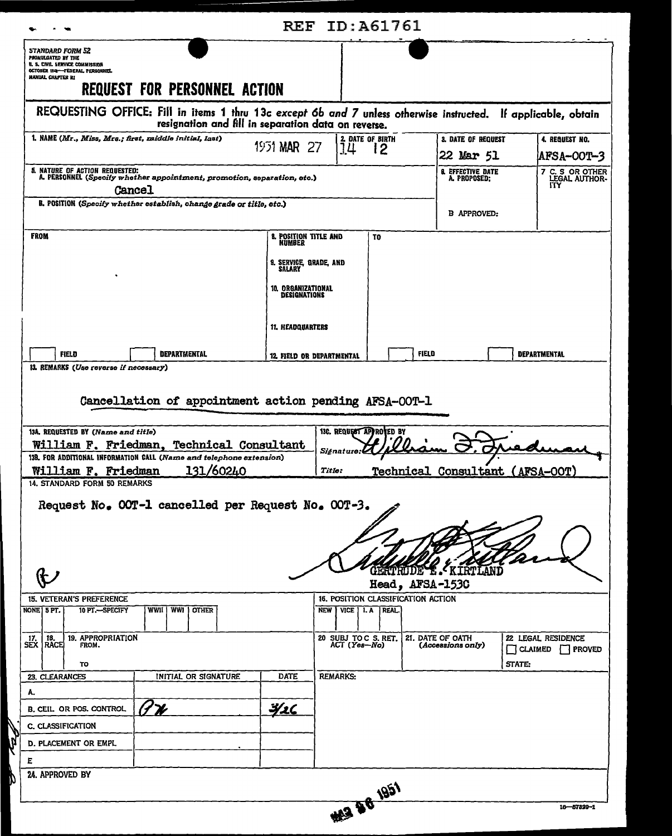| <b>STANDARD FORM 52</b><br>PROMULGATED BY THE<br>U. S. CIVIL SERVICE COMMISSION                                                                                                           |                                                                                                                                                                       |                                               |                                        |                         |                                                       |                                         |
|-------------------------------------------------------------------------------------------------------------------------------------------------------------------------------------------|-----------------------------------------------------------------------------------------------------------------------------------------------------------------------|-----------------------------------------------|----------------------------------------|-------------------------|-------------------------------------------------------|-----------------------------------------|
|                                                                                                                                                                                           |                                                                                                                                                                       |                                               |                                        |                         |                                                       |                                         |
| OCTOBER 1948-FEDERAL PERSONNEL<br><b>HANUAL CHAPTER RI</b>                                                                                                                                |                                                                                                                                                                       |                                               |                                        |                         |                                                       |                                         |
|                                                                                                                                                                                           | <b>REQUEST FOR PERSONNEL ACTION</b>                                                                                                                                   |                                               |                                        |                         |                                                       |                                         |
|                                                                                                                                                                                           | REQUESTING OFFICE: Fill in items 1 thru 13c except 6b and 7 unless otherwise instructed. If applicable, obtain<br>resignation and fill in separation data on reverse. |                                               |                                        |                         |                                                       |                                         |
| 1. NAME (Mr., Miss, Mrs.; first, middle initial, last)                                                                                                                                    |                                                                                                                                                                       | 1951 MAR 27                                   | 14                                     | <b>2. DATE OF BIRTH</b> | 3. DATE OF REQUEST                                    | 4. REQUEST NO.                          |
|                                                                                                                                                                                           |                                                                                                                                                                       |                                               |                                        | 12                      | 22 Mar 51                                             | AFSA-00T-3                              |
| 5. NATURE OF ACTION REQUESTED:<br><b>Cancel</b>                                                                                                                                           | A. PERSONNEL (Specify whether appointment, promotion, separation, etc.)                                                                                               |                                               |                                        |                         | <b><i>A. EFFECTIVE DATE</i></b><br>A. PROPOSED:       | 7 C. S OR OTHER<br>LEGAL AUTHOR-<br>ITY |
|                                                                                                                                                                                           | B. POSITION (Specify whether establish, change grade or title, etc.)                                                                                                  |                                               |                                        |                         | <b>B APPROVED:</b>                                    |                                         |
| <b>FROM</b>                                                                                                                                                                               |                                                                                                                                                                       | <b>8. POSITION TITLE AND</b><br><b>NUMBER</b> |                                        | T <sub>0</sub>          |                                                       |                                         |
|                                                                                                                                                                                           |                                                                                                                                                                       | 9. SERVICE, GRADE, AND                        |                                        |                         |                                                       |                                         |
|                                                                                                                                                                                           |                                                                                                                                                                       | SALARY<br>10, ORGANIZATIONAL<br>DESIGNATIONS  |                                        |                         |                                                       |                                         |
|                                                                                                                                                                                           |                                                                                                                                                                       |                                               |                                        |                         |                                                       |                                         |
|                                                                                                                                                                                           |                                                                                                                                                                       | <b>11. HEADQUARTERS</b>                       |                                        |                         |                                                       |                                         |
| <b>FIELD</b>                                                                                                                                                                              | <b>DEPARTMENTAL</b>                                                                                                                                                   |                                               | 12. FIELD OR DEPARTMENTAL              |                         | FIELD                                                 | <b>DEPARTMENTAL</b>                     |
|                                                                                                                                                                                           | William F. Friedman, Technical Consultant<br>13B. FOR ADDITIONAL INFORMATION CALL (Name and telephone extension)                                                      |                                               | Signature.                             |                         |                                                       |                                         |
|                                                                                                                                                                                           |                                                                                                                                                                       |                                               |                                        |                         |                                                       |                                         |
|                                                                                                                                                                                           |                                                                                                                                                                       |                                               | Title:                                 |                         |                                                       |                                         |
| William F. Friedman                                                                                                                                                                       | 131/60240                                                                                                                                                             |                                               |                                        |                         |                                                       | Technical Consultant (AFSA-OOT)         |
|                                                                                                                                                                                           | Request No. OOT-1 cancelled per Request No. OOT-3.                                                                                                                    |                                               |                                        |                         | <b>GERTRIDE E. KIRTLANI</b>                           |                                         |
|                                                                                                                                                                                           |                                                                                                                                                                       |                                               |                                        |                         | Head, AFSA-1530<br>16. POSITION CLASSIFICATION ACTION |                                         |
| 10 PT.-SPECIFY                                                                                                                                                                            | WWII   WWI   OTHER                                                                                                                                                    |                                               | NEW   VICE   I. A   REAL.              |                         |                                                       |                                         |
| 19. APPROPRIATION<br>18.<br>FROM.                                                                                                                                                         |                                                                                                                                                                       |                                               | 20 SUBJ TO C S. RET.<br>$ACT (Yes-NO)$ |                         | 21. DATE OF OATH<br>(Accessions only)                 | 22 LEGAL RESIDENCE<br>CLAIMED   PROVED  |
| TO                                                                                                                                                                                        |                                                                                                                                                                       | <b>DATE</b>                                   | <b>REMARKS:</b>                        |                         |                                                       | STATE:                                  |
|                                                                                                                                                                                           | INITIAL OR SIGNATURE                                                                                                                                                  |                                               |                                        |                         |                                                       |                                         |
|                                                                                                                                                                                           |                                                                                                                                                                       | <u>Y</u> 16                                   |                                        |                         |                                                       |                                         |
|                                                                                                                                                                                           |                                                                                                                                                                       |                                               |                                        |                         |                                                       |                                         |
| 14. STANDARD FORM 50 REMARKS                                                                                                                                                              |                                                                                                                                                                       |                                               |                                        |                         |                                                       |                                         |
| <b>15. VETERAN'S PREFERENCE</b><br>NONE   5 PT.<br>-17.<br><b>SEX   RACE</b><br>23. CLEARANCES<br>A.<br>B. CEIL OR POS. CONTROL<br><b>C. CLASSIFICATION</b><br>D. PLACEMENT OR EMPL<br>E. |                                                                                                                                                                       |                                               |                                        |                         |                                                       |                                         |
| 24. APPROVED BY                                                                                                                                                                           |                                                                                                                                                                       |                                               |                                        | 43 28 1951              |                                                       |                                         |